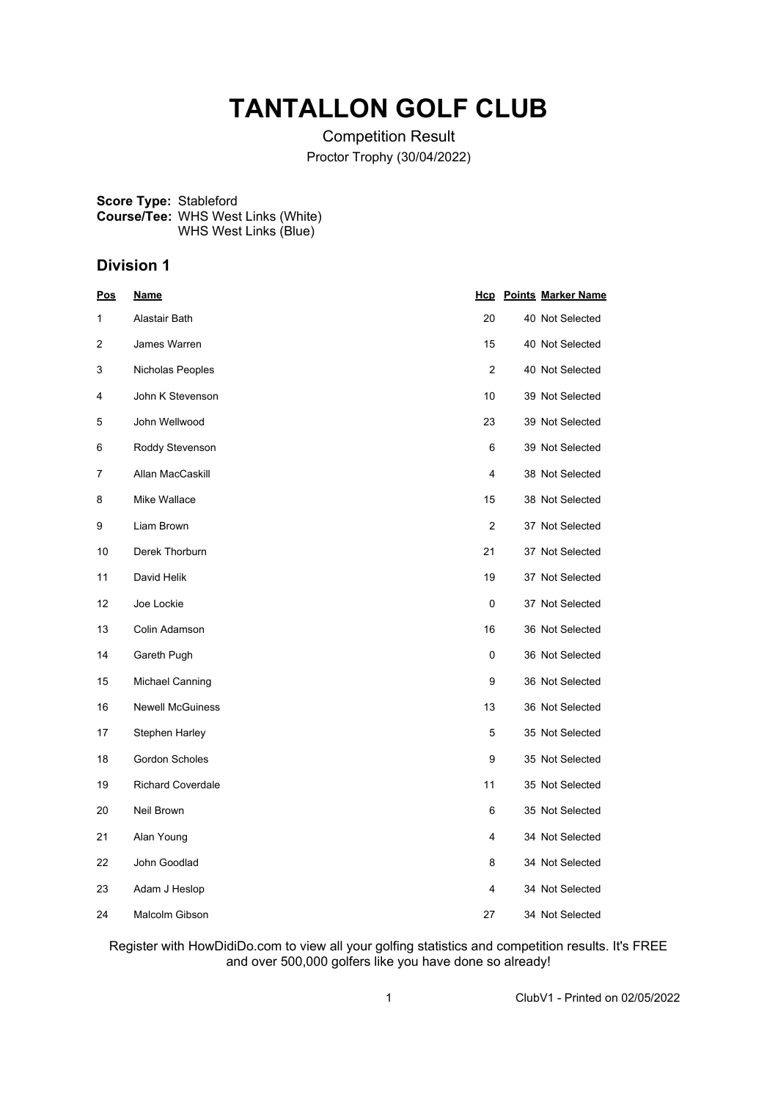## **TANTALLON GOLF CLUB**

Competition Result Proctor Trophy (30/04/2022)

**Score Type:** Stableford **Course/Tee:** WHS West Links (White) WHS West Links (Blue)

#### **Division 1**

| Pos | <u>Name</u>              |                | <b>Hcp</b> Points Marker Name |
|-----|--------------------------|----------------|-------------------------------|
| 1   | Alastair Bath            | 20             | 40 Not Selected               |
| 2   | James Warren             | 15             | 40 Not Selected               |
| 3   | Nicholas Peoples         | $\overline{2}$ | 40 Not Selected               |
| 4   | John K Stevenson         | 10             | 39 Not Selected               |
| 5   | John Wellwood            | 23             | 39 Not Selected               |
| 6   | Roddy Stevenson          | 6              | 39 Not Selected               |
| 7   | Allan MacCaskill         | 4              | 38 Not Selected               |
| 8   | Mike Wallace             | 15             | 38 Not Selected               |
| 9   | Liam Brown               | $\overline{2}$ | 37 Not Selected               |
| 10  | Derek Thorburn           | 21             | 37 Not Selected               |
| 11  | David Helik              | 19             | 37 Not Selected               |
| 12  | Joe Lockie               | 0              | 37 Not Selected               |
| 13  | Colin Adamson            | 16             | 36 Not Selected               |
| 14  | Gareth Pugh              | 0              | 36 Not Selected               |
| 15  | <b>Michael Canning</b>   | 9              | 36 Not Selected               |
| 16  | <b>Newell McGuiness</b>  | 13             | 36 Not Selected               |
| 17  | Stephen Harley           | 5              | 35 Not Selected               |
| 18  | <b>Gordon Scholes</b>    | 9              | 35 Not Selected               |
| 19  | <b>Richard Coverdale</b> | 11             | 35 Not Selected               |
| 20  | Neil Brown               | 6              | 35 Not Selected               |
| 21  | Alan Young               | 4              | 34 Not Selected               |
| 22  | John Goodlad             | 8              | 34 Not Selected               |
| 23  | Adam J Heslop            | 4              | 34 Not Selected               |
| 24  | Malcolm Gibson           | 27             | 34 Not Selected               |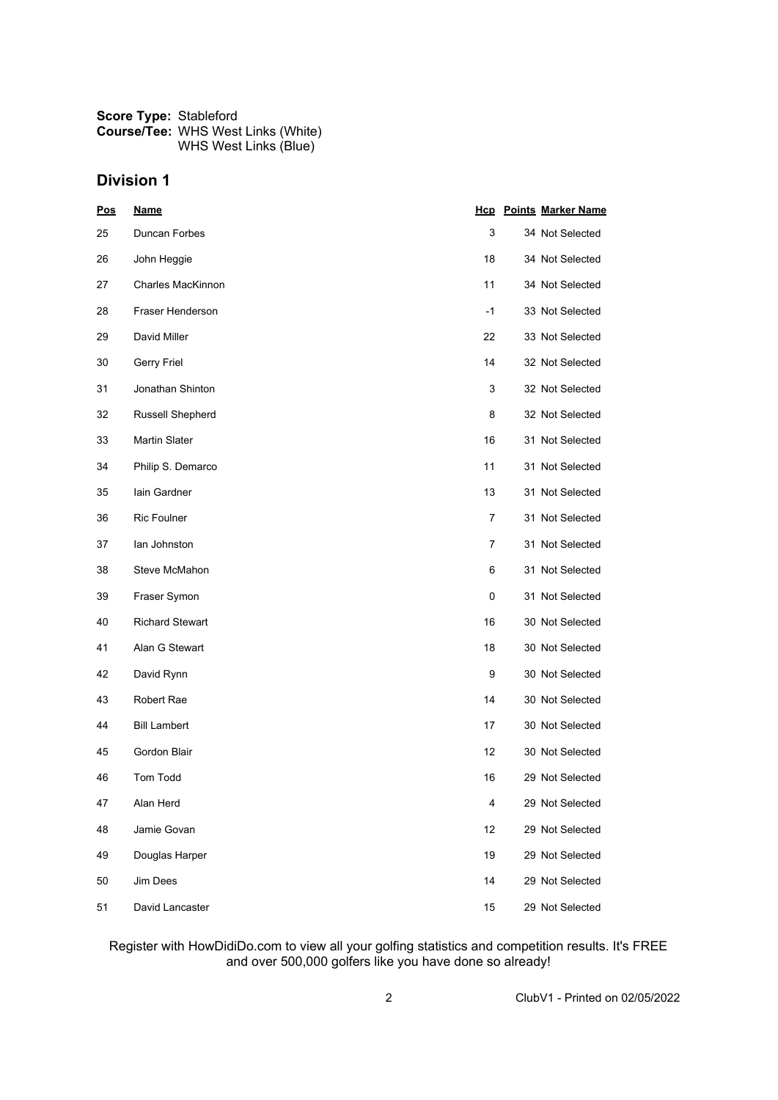| <b>Score Type: Stableford</b> |                                           |  |  |
|-------------------------------|-------------------------------------------|--|--|
|                               | <b>Course/Tee: WHS West Links (White)</b> |  |  |
|                               | WHS West Links (Blue)                     |  |  |

| <b>Pos</b> | <b>Name</b>            |      | <b>Hcp</b> Points Marker Name |
|------------|------------------------|------|-------------------------------|
| 25         | Duncan Forbes          | 3    | 34 Not Selected               |
| 26         | John Heggie            | 18   | 34 Not Selected               |
| 27         | Charles MacKinnon      | 11   | 34 Not Selected               |
| 28         | Fraser Henderson       | $-1$ | 33 Not Selected               |
| 29         | David Miller           | 22   | 33 Not Selected               |
| 30         | Gerry Friel            | 14   | 32 Not Selected               |
| 31         | Jonathan Shinton       | 3    | 32 Not Selected               |
| 32         | Russell Shepherd       | 8    | 32 Not Selected               |
| 33         | <b>Martin Slater</b>   | 16   | 31 Not Selected               |
| 34         | Philip S. Demarco      | 11   | 31 Not Selected               |
| 35         | lain Gardner           | 13   | 31 Not Selected               |
| 36         | <b>Ric Foulner</b>     | 7    | 31 Not Selected               |
| 37         | lan Johnston           | 7    | 31 Not Selected               |
| 38         | Steve McMahon          | 6    | 31 Not Selected               |
| 39         | Fraser Symon           | 0    | 31 Not Selected               |
| 40         | <b>Richard Stewart</b> | 16   | 30 Not Selected               |
| 41         | Alan G Stewart         | 18   | 30 Not Selected               |
| 42         | David Rynn             | 9    | 30 Not Selected               |
| 43         | Robert Rae             | 14   | 30 Not Selected               |
| 44         | <b>Bill Lambert</b>    | 17   | 30 Not Selected               |
| 45         | Gordon Blair           | 12   | 30 Not Selected               |
| 46         | <b>Tom Todd</b>        | 16   | 29 Not Selected               |
| 47         | Alan Herd              | 4    | 29 Not Selected               |
| 48         | Jamie Govan            | 12   | 29 Not Selected               |
| 49         | Douglas Harper         | 19   | 29 Not Selected               |
| 50         | Jim Dees               | 14   | 29 Not Selected               |
| 51         | David Lancaster        | 15   | 29 Not Selected               |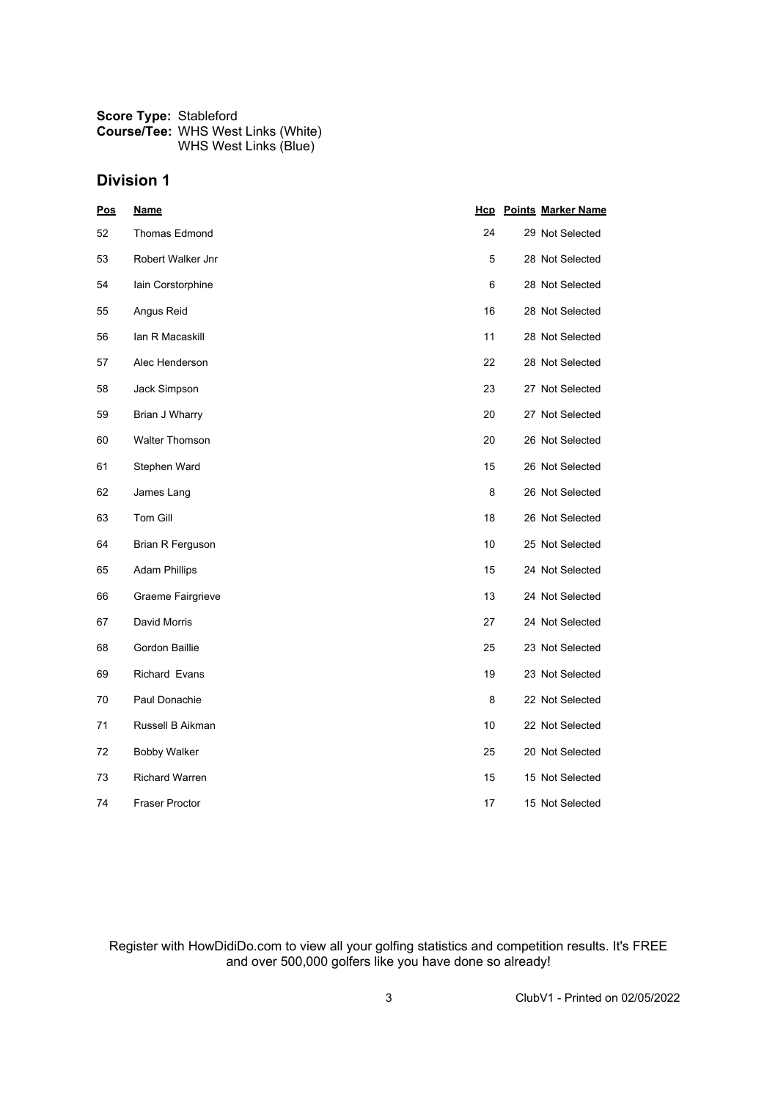| <b>Score Type: Stableford</b> |                                           |  |  |
|-------------------------------|-------------------------------------------|--|--|
|                               | <b>Course/Tee: WHS West Links (White)</b> |  |  |
|                               | WHS West Links (Blue)                     |  |  |

| <u>Pos</u> | <u>Name</u>           |    | <b>Hcp</b> Points Marker Name |
|------------|-----------------------|----|-------------------------------|
| 52         | <b>Thomas Edmond</b>  | 24 | 29 Not Selected               |
| 53         | Robert Walker Jnr     | 5  | 28 Not Selected               |
| 54         | lain Corstorphine     | 6  | 28 Not Selected               |
| 55         | Angus Reid            | 16 | 28 Not Selected               |
| 56         | lan R Macaskill       | 11 | 28 Not Selected               |
| 57         | Alec Henderson        | 22 | 28 Not Selected               |
| 58         | Jack Simpson          | 23 | 27 Not Selected               |
| 59         | Brian J Wharry        | 20 | 27 Not Selected               |
| 60         | <b>Walter Thomson</b> | 20 | 26 Not Selected               |
| 61         | Stephen Ward          | 15 | 26 Not Selected               |
| 62         | James Lang            | 8  | 26 Not Selected               |
| 63         | Tom Gill              | 18 | 26 Not Selected               |
| 64         | Brian R Ferguson      | 10 | 25 Not Selected               |
| 65         | <b>Adam Phillips</b>  | 15 | 24 Not Selected               |
| 66         | Graeme Fairgrieve     | 13 | 24 Not Selected               |
| 67         | David Morris          | 27 | 24 Not Selected               |
| 68         | Gordon Baillie        | 25 | 23 Not Selected               |
| 69         | <b>Richard Evans</b>  | 19 | 23 Not Selected               |
| 70         | Paul Donachie         | 8  | 22 Not Selected               |
| 71         | Russell B Aikman      | 10 | 22 Not Selected               |
| 72         | <b>Bobby Walker</b>   | 25 | 20 Not Selected               |
| 73         | <b>Richard Warren</b> | 15 | 15 Not Selected               |
| 74         | <b>Fraser Proctor</b> | 17 | 15 Not Selected               |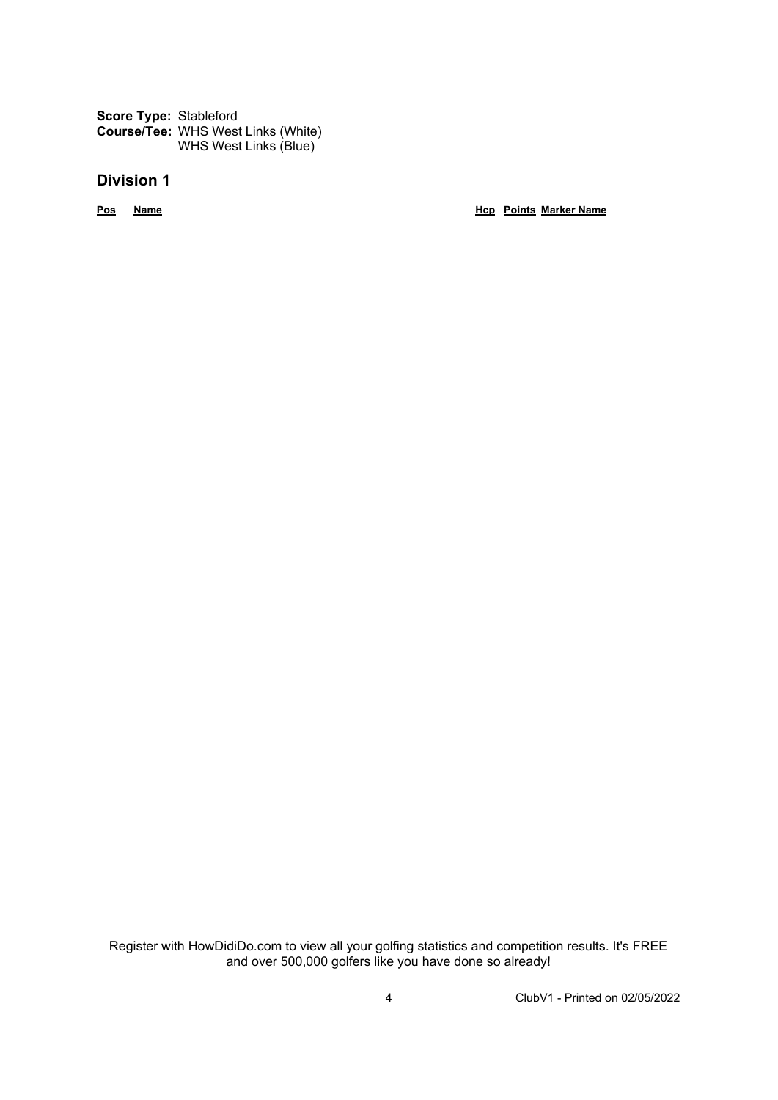**Score Type:** Stableford **Course/Tee:** WHS West Links (White) WHS West Links (Blue)

#### **Division 1**

**Pos Name Hcp Points Marker Name**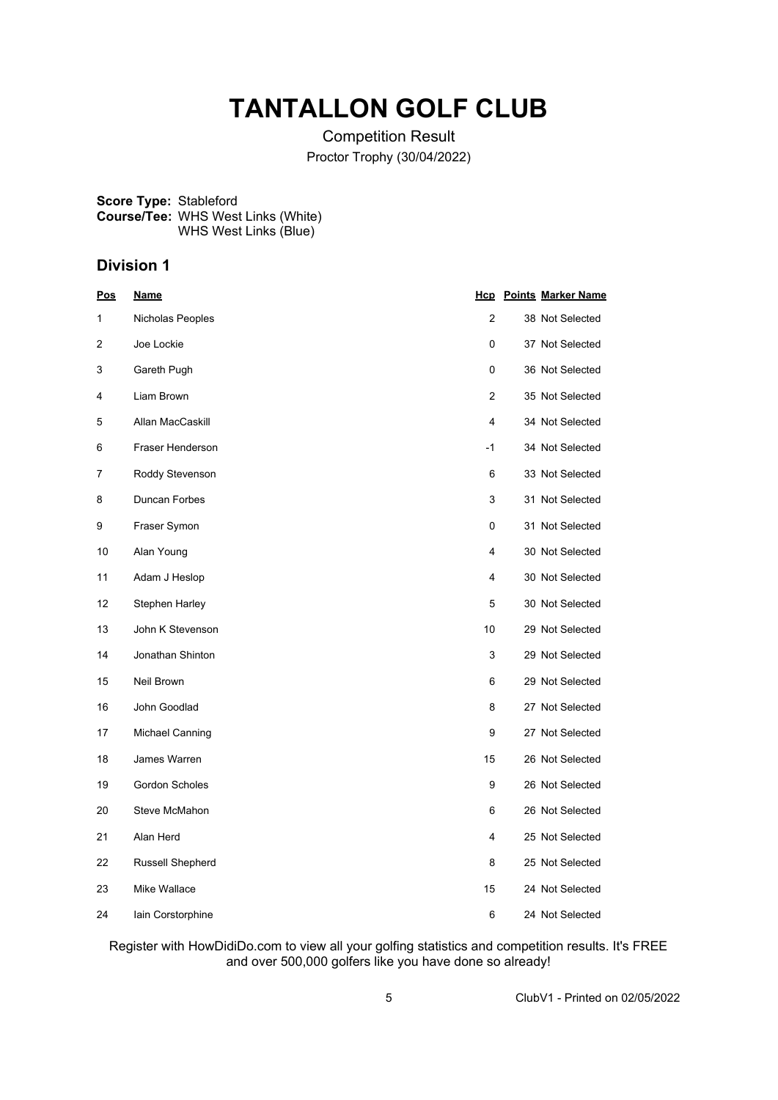## **TANTALLON GOLF CLUB**

Competition Result Proctor Trophy (30/04/2022)

**Score Type:** Stableford **Course/Tee:** WHS West Links (White) WHS West Links (Blue)

## **Division 1**

| <u>Pos</u> | <u>Name</u>             |                | <b>Hcp</b> Points Marker Name |
|------------|-------------------------|----------------|-------------------------------|
| 1          | Nicholas Peoples        | $\overline{2}$ | 38 Not Selected               |
| 2          | Joe Lockie              | 0              | 37 Not Selected               |
| 3          | Gareth Pugh             | 0              | 36 Not Selected               |
| 4          | Liam Brown              | 2              | 35 Not Selected               |
| 5          | Allan MacCaskill        | 4              | 34 Not Selected               |
| 6          | Fraser Henderson        | $-1$           | 34 Not Selected               |
| 7          | Roddy Stevenson         | 6              | 33 Not Selected               |
| 8          | Duncan Forbes           | 3              | 31 Not Selected               |
| 9          | Fraser Symon            | 0              | 31 Not Selected               |
| 10         | Alan Young              | 4              | 30 Not Selected               |
| 11         | Adam J Heslop           | 4              | 30 Not Selected               |
| 12         | Stephen Harley          | 5              | 30 Not Selected               |
| 13         | John K Stevenson        | 10             | 29 Not Selected               |
| 14         | Jonathan Shinton        | 3              | 29 Not Selected               |
| 15         | Neil Brown              | 6              | 29 Not Selected               |
| 16         | John Goodlad            | 8              | 27 Not Selected               |
| 17         | Michael Canning         | 9              | 27 Not Selected               |
| 18         | James Warren            | 15             | 26 Not Selected               |
| 19         | Gordon Scholes          | 9              | 26 Not Selected               |
| 20         | Steve McMahon           | 6              | 26 Not Selected               |
| 21         | Alan Herd               | 4              | 25 Not Selected               |
| 22         | <b>Russell Shepherd</b> | 8              | 25 Not Selected               |
| 23         | Mike Wallace            | 15             | 24 Not Selected               |
| 24         | lain Corstorphine       | 6              | 24 Not Selected               |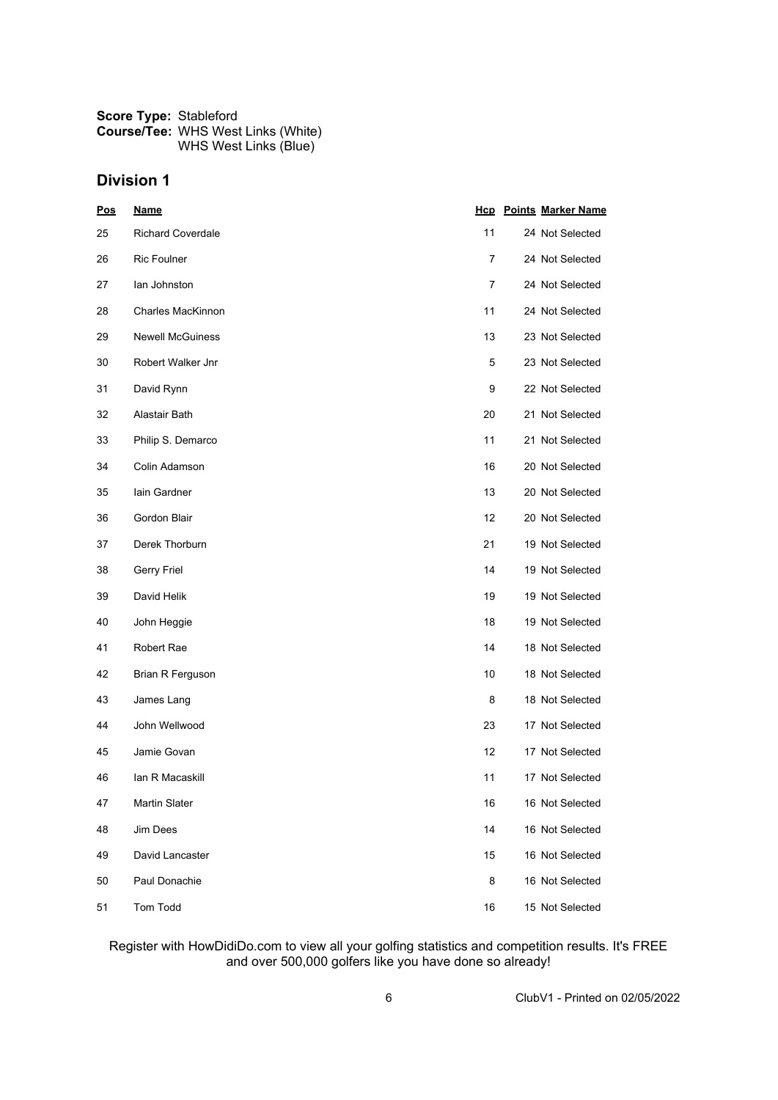| <b>Score Type: Stableford</b> |                                           |  |  |
|-------------------------------|-------------------------------------------|--|--|
|                               | <b>Course/Tee: WHS West Links (White)</b> |  |  |
|                               | WHS West Links (Blue)                     |  |  |

| <b>Pos</b> | <b>Name</b>              |    | <b>Hcp</b> Points Marker Name |
|------------|--------------------------|----|-------------------------------|
| 25         | <b>Richard Coverdale</b> | 11 | 24 Not Selected               |
| 26         | <b>Ric Foulner</b>       | 7  | 24 Not Selected               |
| 27         | lan Johnston             | 7  | 24 Not Selected               |
| 28         | <b>Charles MacKinnon</b> | 11 | 24 Not Selected               |
| 29         | <b>Newell McGuiness</b>  | 13 | 23 Not Selected               |
| 30         | Robert Walker Jnr        | 5  | 23 Not Selected               |
| 31         | David Rynn               | 9  | 22 Not Selected               |
| 32         | Alastair Bath            | 20 | 21 Not Selected               |
| 33         | Philip S. Demarco        | 11 | 21 Not Selected               |
| 34         | Colin Adamson            | 16 | 20 Not Selected               |
| 35         | lain Gardner             | 13 | 20 Not Selected               |
| 36         | Gordon Blair             | 12 | 20 Not Selected               |
| 37         | Derek Thorburn           | 21 | 19 Not Selected               |
| 38         | <b>Gerry Friel</b>       | 14 | 19 Not Selected               |
| 39         | David Helik              | 19 | 19 Not Selected               |
| 40         | John Heggie              | 18 | 19 Not Selected               |
| 41         | Robert Rae               | 14 | 18 Not Selected               |
| 42         | Brian R Ferguson         | 10 | 18 Not Selected               |
| 43         | James Lang               | 8  | 18 Not Selected               |
| 44         | John Wellwood            | 23 | 17 Not Selected               |
| 45         | Jamie Govan              | 12 | 17 Not Selected               |
| 46         | lan R Macaskill          | 11 | 17 Not Selected               |
| 47         | Martin Slater            | 16 | 16 Not Selected               |
| 48         | Jim Dees                 | 14 | 16 Not Selected               |
| 49         | David Lancaster          | 15 | 16 Not Selected               |
| 50         | Paul Donachie            | 8  | 16 Not Selected               |
| 51         | Tom Todd                 | 16 | 15 Not Selected               |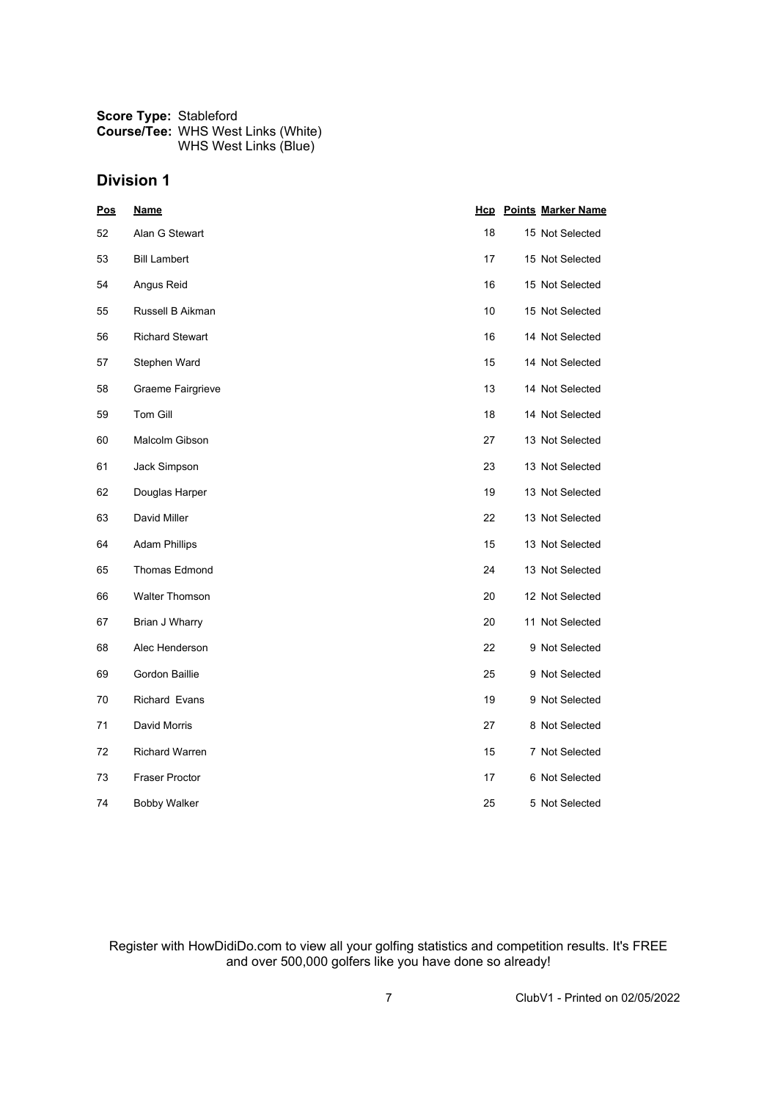| <b>Score Type: Stableford</b> |                                           |
|-------------------------------|-------------------------------------------|
|                               | <b>Course/Tee: WHS West Links (White)</b> |
|                               | WHS West Links (Blue)                     |

| Pos | <u>Name</u>            |    | <b>Hcp</b> Points Marker Name |
|-----|------------------------|----|-------------------------------|
| 52  | Alan G Stewart         | 18 | 15 Not Selected               |
| 53  | <b>Bill Lambert</b>    | 17 | 15 Not Selected               |
| 54  | Angus Reid             | 16 | 15 Not Selected               |
| 55  | Russell B Aikman       | 10 | 15 Not Selected               |
| 56  | <b>Richard Stewart</b> | 16 | 14 Not Selected               |
| 57  | Stephen Ward           | 15 | 14 Not Selected               |
| 58  | Graeme Fairgrieve      | 13 | 14 Not Selected               |
| 59  | Tom Gill               | 18 | 14 Not Selected               |
| 60  | Malcolm Gibson         | 27 | 13 Not Selected               |
| 61  | Jack Simpson           | 23 | 13 Not Selected               |
| 62  | Douglas Harper         | 19 | 13 Not Selected               |
| 63  | David Miller           | 22 | 13 Not Selected               |
| 64  | <b>Adam Phillips</b>   | 15 | 13 Not Selected               |
| 65  | <b>Thomas Edmond</b>   | 24 | 13 Not Selected               |
| 66  | <b>Walter Thomson</b>  | 20 | 12 Not Selected               |
| 67  | Brian J Wharry         | 20 | 11 Not Selected               |
| 68  | Alec Henderson         | 22 | 9 Not Selected                |
| 69  | Gordon Baillie         | 25 | 9 Not Selected                |
| 70  | Richard Evans          | 19 | 9 Not Selected                |
| 71  | David Morris           | 27 | 8 Not Selected                |
| 72  | <b>Richard Warren</b>  | 15 | 7 Not Selected                |
| 73  | <b>Fraser Proctor</b>  | 17 | 6 Not Selected                |
| 74  | <b>Bobby Walker</b>    | 25 | 5 Not Selected                |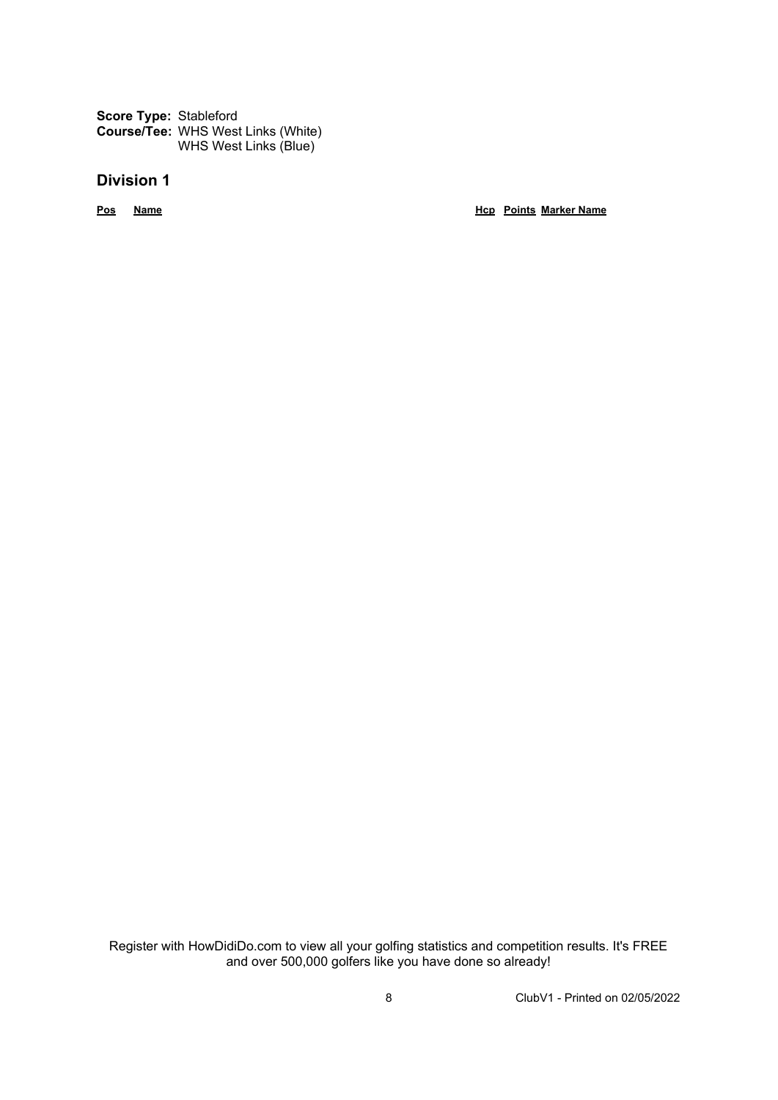**Score Type:** Stableford **Course/Tee:** WHS West Links (White) WHS West Links (Blue)

#### **Division 1**

**Pos Name Hcp Points Marker Name**